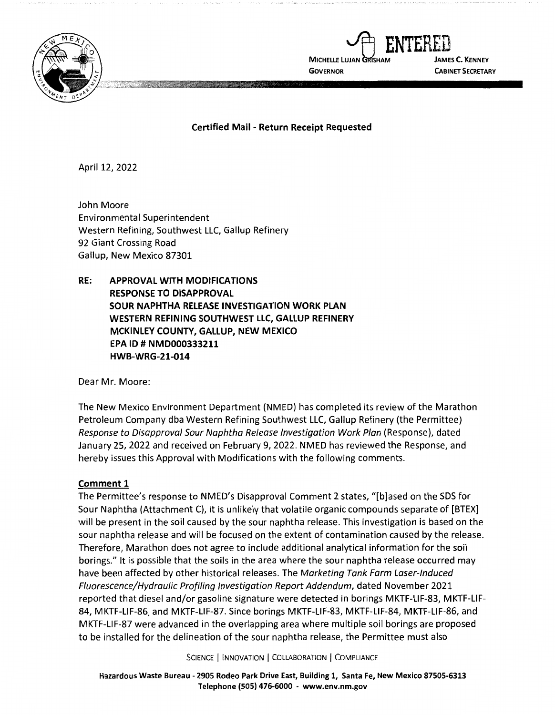



**Certified Mail** - **Return Receipt Requested** 

April 12, 2022

John Moore Environmental Superintendent Western Refining, Southwest LLC, Gallup Refinery 92 Giant Crossing Road Gallup, New Mexico 87301

**RE: APPROVAL WITH MODIFICATIONS RESPONSE TO DISAPPROVAL SOUR NAPHTHA RELEASE INVESTIGATION WORK PLAN WESTERN REFINING SOUTHWEST LLC, GALLUP REFINERY MCKINLEY COUNTY, GALLUP, NEW MEXICO EPA ID# NMD000333211 HWB-WRG-21-014** 

Dear Mr. Moore:

The New Mexico Environment Department (NMED) has completed its review of the Marathon Petroleum Company dba Western Refining Southwest LLC, Gallup Refinery (the Permittee) Response to Disapproval Sour Naphtha Release Investigation Work Plan (Response), dated January 25, 2022 and received on February 9, 2022. NMED has reviewed the Response, and hereby issues this Approval with Modifications with the following comments.

## **Comment 1**

The Permittee's response to NMED's Disapproval Comment 2 states, "[b]ased on the SDS for Sour Naphtha (Attachment C), it is unlikely that volatile organic compounds separate of [BTEX] will be present in the soil caused by the sour naphtha release. This investigation is based on the sour naphtha release and will be focused on the extent of contamination caused by the release. Therefore, Marathon does not agree to include additional analytical information for the soil borings." It is possible that the soils in the area where the sour naphtha release occurred may have been affected by other historical releases. The Marketing Tank Farm Laser-Induced Fluorescence/Hydraulic Profiling Investigation Report Addendum, dated November 2021 reported that diesel and/or gasoline signature were detected in borings MKTF-LIF-83, MKTF-LIF-84, MKTF-LIF-86, and MKTF-LIF-87. Since borings MKTF-LIF-83, MKTF-LIF-84, MKTF-LIF-86, and MKTF-LIF-87 were advanced in the overlapping area where multiple soil borings are proposed to be installed for the delineation of the sour naphtha release, the Permittee must also

SCIENCE | INNOVATION | COLLABORATION | COMPLIANCE

**Hazardous Waste Bureau** - **2905 Rodeo Park Drive East, Building 1, Santa Fe, New Mexico 87505-6313 Telephone (SOS) 476-6000** - **www.env.nm.gov**